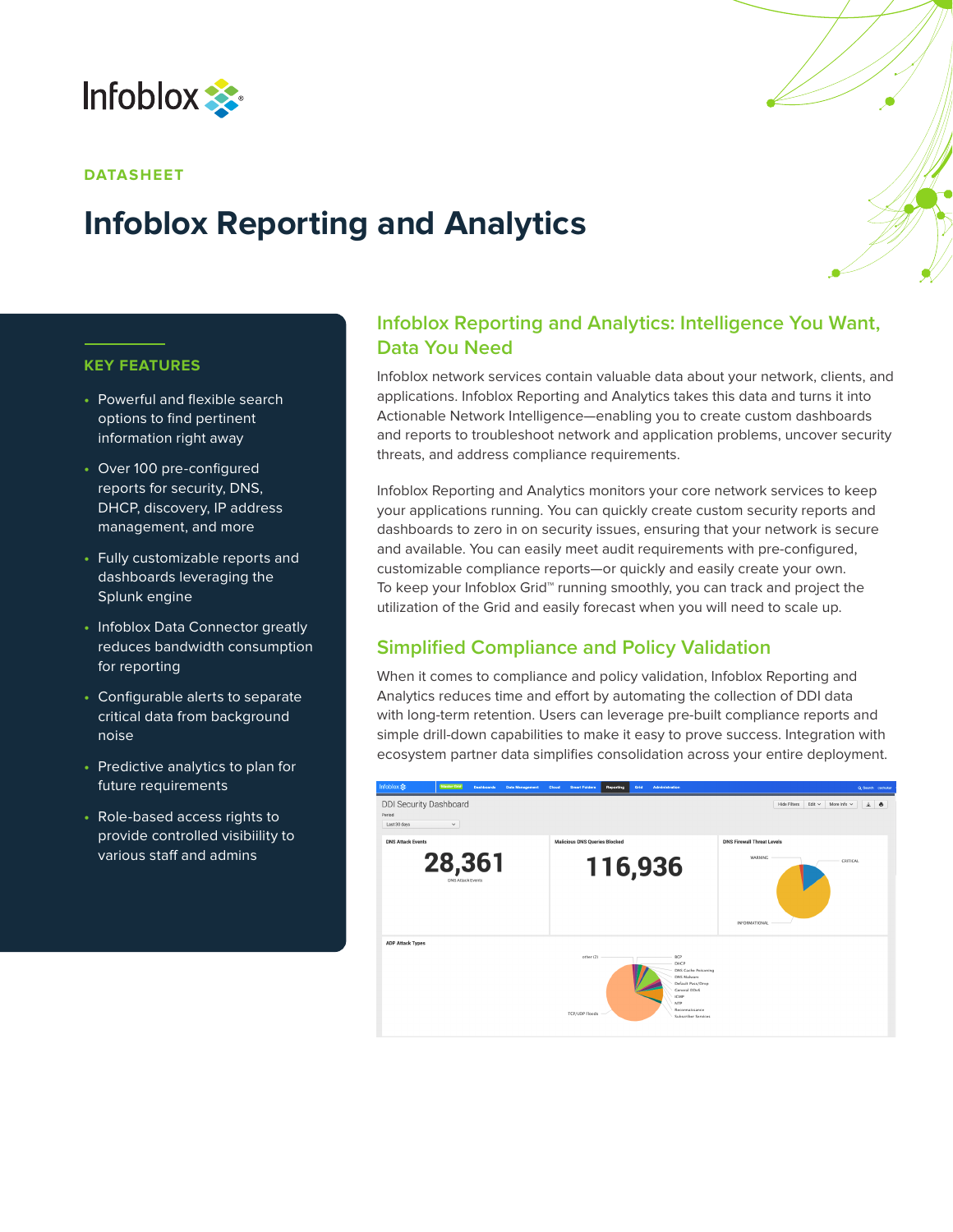

### **DATASHEET**

# **Infoblox Reporting and Analytics**

### **KEY FEATURES**

- **•** Powerful and flexible search options to find pertinent information right away
- **•** Over 100 pre-configured reports for security, DNS, DHCP, discovery, IP address management, and more
- **•** Fully customizable reports and dashboards leveraging the Splunk engine
- **•** Infoblox Data Connector greatly reduces bandwidth consumption for reporting
- **•** Configurable alerts to separate critical data from background noise
- **•** Predictive analytics to plan for future requirements
- **•** Role-based access rights to provide controlled visibiility to various staff and admins

# **Infoblox Reporting and Analytics: Intelligence You Want, Data You Need**

Infoblox network services contain valuable data about your network, clients, and applications. Infoblox Reporting and Analytics takes this data and turns it into Actionable Network Intelligence—enabling you to create custom dashboards and reports to troubleshoot network and application problems, uncover security threats, and address compliance requirements.

Infoblox Reporting and Analytics monitors your core network services to keep your applications running. You can quickly create custom security reports and dashboards to zero in on security issues, ensuring that your network is secure and available. You can easily meet audit requirements with pre-configured, customizable compliance reports—or quickly and easily create your own. To keep your Infoblox Grid™ running smoothly, you can track and project the utilization of the Grid and easily forecast when you will need to scale up.

# **Simplified Compliance and Policy Validation**

When it comes to compliance and policy validation, Infoblox Reporting and Analytics reduces time and effort by automating the collection of DDI data with long-term retention. Users can leverage pre-built compliance reports and simple drill-down capabilities to make it easy to prove success. Integration with ecosystem partner data simplifies consolidation across your entire deployment.